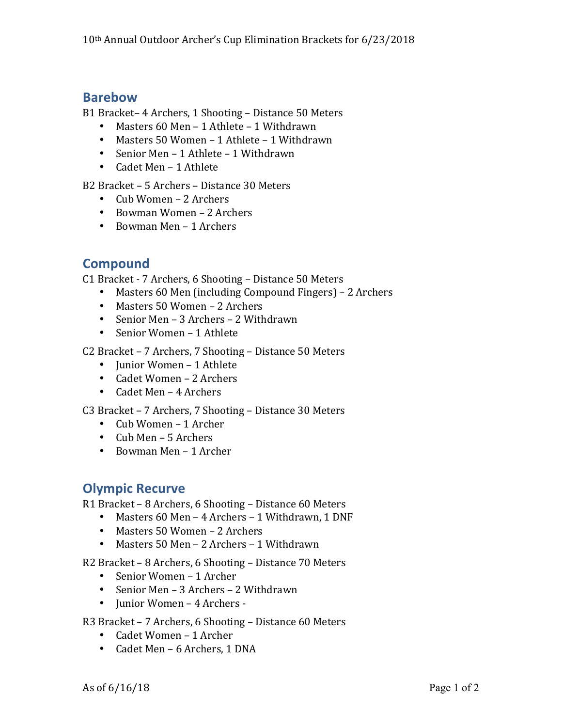## **Barebow**

B1 Bracket– 4 Archers, 1 Shooting – Distance 50 Meters

- Masters  $60$  Men 1 Athlete 1 Withdrawn
- Masters 50 Women 1 Athlete 1 Withdrawn
- Senior Men 1 Athlete 1 Withdrawn
- Cadet Men 1 Athlete

B<sub>2</sub> Bracket – 5 Archers – Distance 30 Meters

- $Cub Women 2$  Archers
- Bowman Women 2 Archers
- Bowman Men 1 Archers

## **Compound**

C1 Bracket - 7 Archers, 6 Shooting – Distance 50 Meters

- Masters 60 Men (including Compound Fingers) 2 Archers
- Masters 50 Women 2 Archers
- Senior Men 3 Archers 2 Withdrawn
- Senior Women 1 Athlete

C2 Bracket – 7 Archers, 7 Shooting – Distance 50 Meters

- Iunior Women 1 Athlete
- Cadet Women 2 Archers
- Cadet Men 4 Archers

C3 Bracket – 7 Archers, 7 Shooting – Distance 30 Meters

- Cub Women 1 Archer
- Cub Men 5 Archers
- Bowman Men 1 Archer

## **Olympic Recurve**

R1 Bracket – 8 Archers, 6 Shooting – Distance 60 Meters

- Masters 60 Men 4 Archers 1 Withdrawn, 1 DNF
- Masters 50 Women 2 Archers
- Masters 50 Men 2 Archers 1 Withdrawn

R2 Bracket – 8 Archers, 6 Shooting – Distance 70 Meters

- Senior Women 1 Archer
- Senior Men 3 Archers 2 Withdrawn
- Junior Women 4 Archers -

R3 Bracket – 7 Archers, 6 Shooting – Distance 60 Meters

- Cadet Women 1 Archer
- Cadet Men 6 Archers, 1 DNA